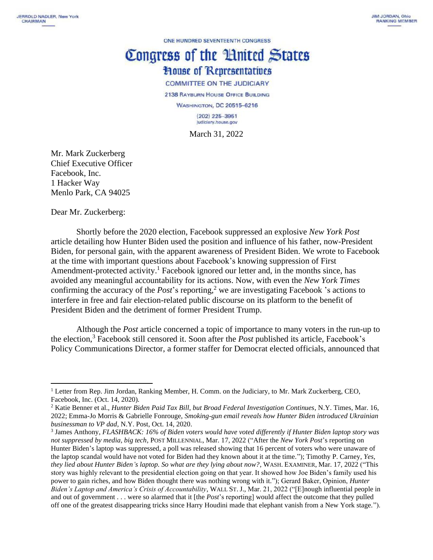ONE HUNDRED SEVENTEENTH CONGRESS

## Congress of the Huited States **House of Representatives COMMITTEE ON THE JUDICIARY**

2138 RAYBURN HOUSE OFFICE BUILDING **WASHINGTON, DC 20515-6216**  $(202)$  225-3951 Judiciary.house.gov

March 31, 2022

Mr. Mark Zuckerberg Chief Executive Officer Facebook, Inc. 1 Hacker Way Menlo Park, CA 94025

Dear Mr. Zuckerberg:

Shortly before the 2020 election, Facebook suppressed an explosive *New York Post* article detailing how Hunter Biden used the position and influence of his father, now-President Biden, for personal gain, with the apparent awareness of President Biden. We wrote to Facebook at the time with important questions about Facebook's knowing suppression of First Amendment-protected activity.<sup>1</sup> Facebook ignored our letter and, in the months since, has avoided any meaningful accountability for its actions. Now, with even the *New York Times* confirming the accuracy of the *Post*'s reporting,<sup>2</sup> we are investigating Facebook 's actions to interfere in free and fair election-related public discourse on its platform to the benefit of President Biden and the detriment of former President Trump.

Although the *Post* article concerned a topic of importance to many voters in the run-up to the election,<sup>3</sup> Facebook still censored it. Soon after the *Post* published its article, Facebook's Policy Communications Director, a former staffer for Democrat elected officials, announced that

<sup>&</sup>lt;sup>1</sup> Letter from Rep. Jim Jordan, Ranking Member, H. Comm. on the Judiciary, to Mr. Mark Zuckerberg, CEO, Facebook, Inc. (Oct. 14, 2020).

<sup>2</sup> Katie Benner et al., *Hunter Biden Paid Tax Bill, but Broad Federal Investigation Continues*, N.Y. Times, Mar. 16, 2022; Emma-Jo Morris & Gabrielle Fonrouge, *Smoking-gun email reveals how Hunter Biden introduced Ukrainian businessman to VP dad*, N.Y. Post, Oct. 14, 2020.

<sup>3</sup> James Anthony, *FLASHBACK: 16% of Biden voters would have voted differently if Hunter Biden laptop story was not suppressed by media, big tech*, POST MILLENNIAL, Mar. 17, 2022 ("After the *New York Post*'s reporting on Hunter Biden's laptop was suppressed, a poll was released showing that 16 percent of voters who were unaware of the laptop scandal would have not voted for Biden had they known about it at the time."); Timothy P. Carney, *Yes, they lied about Hunter Biden's laptop. So what are they lying about now?*, WASH. EXAMINER, Mar. 17, 2022 ("This story was highly relevant to the presidential election going on that year. It showed how Joe Biden's family used his power to gain riches, and how Biden thought there was nothing wrong with it."); Gerard Baker, Opinion, *Hunter Biden's Laptop and America's Crisis of Accountability*, WALL ST. J., Mar. 21, 2022 ("[E]nough influential people in and out of government . . . were so alarmed that it [the *Post*'s reporting] would affect the outcome that they pulled off one of the greatest disappearing tricks since Harry Houdini made that elephant vanish from a New York stage.").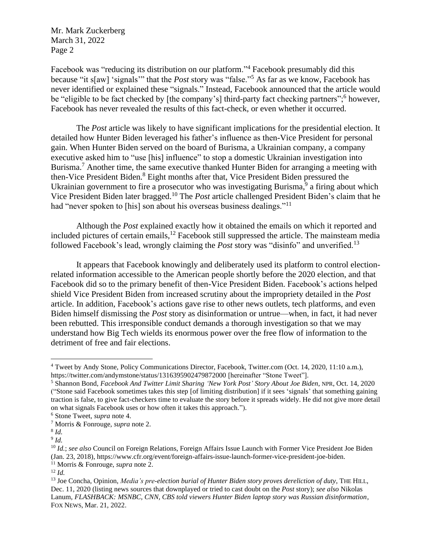Facebook was "reducing its distribution on our platform."<sup>4</sup> Facebook presumably did this because "it s[aw] 'signals'" that the *Post* story was "false."<sup>5</sup> As far as we know, Facebook has never identified or explained these "signals." Instead, Facebook announced that the article would be "eligible to be fact checked by [the company's] third-party fact checking partners";<sup>6</sup> however, Facebook has never revealed the results of this fact-check, or even whether it occurred.

The *Post* article was likely to have significant implications for the presidential election. It detailed how Hunter Biden leveraged his father's influence as then-Vice President for personal gain. When Hunter Biden served on the board of Burisma, a Ukrainian company, a company executive asked him to "use [his] influence" to stop a domestic Ukrainian investigation into Burisma.<sup>7</sup> Another time, the same executive thanked Hunter Biden for arranging a meeting with then-Vice President Biden.<sup>8</sup> Eight months after that, Vice President Biden pressured the Ukrainian government to fire a prosecutor who was investigating Burisma,<sup>9</sup> a firing about which Vice President Biden later bragged. <sup>10</sup> The *Post* article challenged President Biden's claim that he had "never spoken to [his] son about his overseas business dealings."<sup>11</sup>

Although the *Post* explained exactly how it obtained the emails on which it reported and included pictures of certain emails,<sup>12</sup> Facebook still suppressed the article. The mainsteam media followed Facebook's lead, wrongly claiming the *Post* story was "disinfo" and unverified.<sup>13</sup>

It appears that Facebook knowingly and deliberately used its platform to control electionrelated information accessible to the American people shortly before the 2020 election, and that Facebook did so to the primary benefit of then-Vice President Biden. Facebook's actions helped shield Vice President Biden from increased scrutiny about the impropriety detailed in the *Post* article. In addition, Facebook's actions gave rise to other news outlets, tech platforms, and even Biden himself dismissing the *Post* story as disinformation or untrue—when, in fact, it had never been rebutted. This irresponsible conduct demands a thorough investigation so that we may understand how Big Tech wields its enormous power over the free flow of information to the detriment of free and fair elections.

<sup>4</sup> Tweet by Andy Stone, Policy Communications Director, Facebook, Twitter.com (Oct. 14, 2020, 11:10 a.m.), https://twitter.com/andymstone/status/1316395902479872000 [hereinafter "Stone Tweet"].

<sup>5</sup> Shannon Bond, *Facebook And Twitter Limit Sharing 'New York Post' Story About Joe Biden*, NPR, Oct. 14, 2020 ("Stone said Facebook sometimes takes this step [of limiting distribution] if it sees 'signals' that something gaining traction is false, to give fact-checkers time to evaluate the story before it spreads widely. He did not give more detail on what signals Facebook uses or how often it takes this approach.").

<sup>6</sup> Stone Tweet, *supra* note 4.

<sup>7</sup> Morris & Fonrouge, *supra* note 2.

<sup>8</sup> *Id.*

<sup>9</sup> *Id.*

<sup>10</sup> *Id.*; *see also* Council on Foreign Relations, Foreign Affairs Issue Launch with Former Vice President Joe Biden (Jan. 23, 2018), https://www.cfr.org/event/foreign-affairs-issue-launch-former-vice-president-joe-biden.

<sup>11</sup> Morris & Fonrouge, *supra* note 2.

<sup>12</sup> *Id.*

<sup>13</sup> Joe Concha, Opinion, *Media's pre-election burial of Hunter Biden story proves dereliction of duty*, THE HILL, Dec. 11, 2020 (listing news sources that downplayed or tried to cast doubt on the *Post* story); *see also* Nikolas Lanum, *FLASHBACK: MSNBC, CNN, CBS told viewers Hunter Biden laptop story was Russian disinformation*, FOX NEWS, Mar. 21, 2022.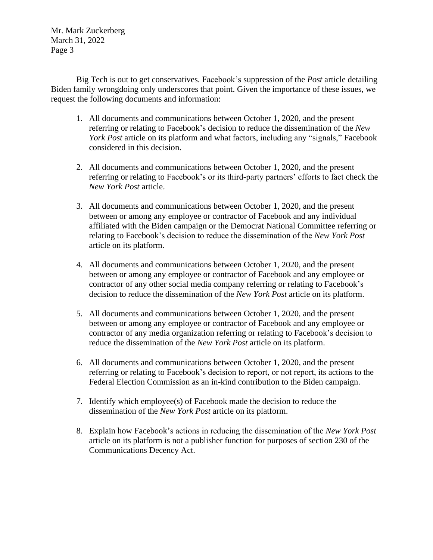Big Tech is out to get conservatives. Facebook's suppression of the *Post* article detailing Biden family wrongdoing only underscores that point. Given the importance of these issues, we request the following documents and information:

- 1. All documents and communications between October 1, 2020, and the present referring or relating to Facebook's decision to reduce the dissemination of the *New York Post* article on its platform and what factors, including any "signals," Facebook considered in this decision.
- 2. All documents and communications between October 1, 2020, and the present referring or relating to Facebook's or its third-party partners' efforts to fact check the *New York Post* article.
- 3. All documents and communications between October 1, 2020, and the present between or among any employee or contractor of Facebook and any individual affiliated with the Biden campaign or the Democrat National Committee referring or relating to Facebook's decision to reduce the dissemination of the *New York Post* article on its platform.
- 4. All documents and communications between October 1, 2020, and the present between or among any employee or contractor of Facebook and any employee or contractor of any other social media company referring or relating to Facebook's decision to reduce the dissemination of the *New York Post* article on its platform.
- 5. All documents and communications between October 1, 2020, and the present between or among any employee or contractor of Facebook and any employee or contractor of any media organization referring or relating to Facebook's decision to reduce the dissemination of the *New York Post* article on its platform.
- 6. All documents and communications between October 1, 2020, and the present referring or relating to Facebook's decision to report, or not report, its actions to the Federal Election Commission as an in-kind contribution to the Biden campaign.
- 7. Identify which employee(s) of Facebook made the decision to reduce the dissemination of the *New York Post* article on its platform.
- 8. Explain how Facebook's actions in reducing the dissemination of the *New York Post* article on its platform is not a publisher function for purposes of section 230 of the Communications Decency Act.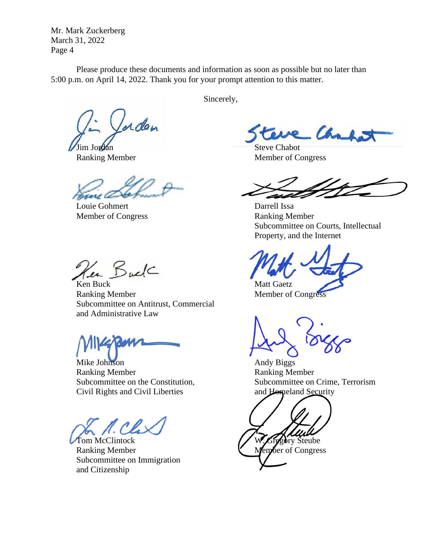Please produce these documents and information as soon as possible but no later than 5:00 p.m. on April 14, 2022. Thank you for your prompt attention to this matter.

Lerdan

Louie Gohmert Darrell Issa Member of Congress Ranking Member

Ken Buck

**Ken Buck** Matt Gaetz Ranking Member Member Member of Congress Subcommittee on Antitrust, Commercial and Administrative Law

Mike Johnson **Andy Biggs** Ranking Member **Ranking Member** Civil Rights and Civil Liberties and Homeland Security

Ranking Member Wender Member Member Subcommittee on Immigration and Citizenship

Sincerely,

e Chal

Jim Jordan Steve Chabot Ranking Member Member of Congress

Subcommittee on Courts, Intellectual Property, and the Internet

Subcommittee on the Constitution, Subcommittee on Crime, Terrorism

Tom McClintock W. Gregory Steube